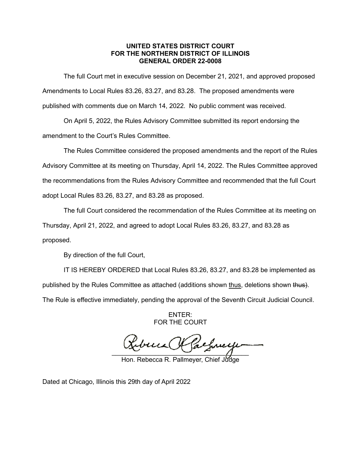#### **UNITED STATES DISTRICT COURT FOR THE NORTHERN DISTRICT OF ILLINOIS GENERAL ORDER 22-0008**

The full Court met in executive session on December 21, 2021, and approved proposed Amendments to Local Rules 83.26, 83.27, and 83.28. The proposed amendments were published with comments due on March 14, 2022. No public comment was received.

On April 5, 2022, the Rules Advisory Committee submitted its report endorsing the amendment to the Court's Rules Committee.

The Rules Committee considered the proposed amendments and the report of the Rules Advisory Committee at its meeting on Thursday, April 14, 2022. The Rules Committee approved the recommendations from the Rules Advisory Committee and recommended that the full Court adopt Local Rules 83.26, 83.27, and 83.28 as proposed.

The full Court considered the recommendation of the Rules Committee at its meeting on

Thursday, April 21, 2022, and agreed to adopt Local Rules 83.26, 83.27, and 83.28 as

proposed.

By direction of the full Court,

IT IS HEREBY ORDERED that Local Rules 83.26, 83.27, and 83.28 be implemented as published by the Rules Committee as attached (additions shown thus, deletions shown thus). The Rule is effective immediately, pending the approval of the Seventh Circuit Judicial Council.

> ENTER: FOR THE COURT

rue Of Pachneyer  $\overline{\phantom{a}}$ 

Hon. Rebecca R. Pallmeyer, Chief Judge

Dated at Chicago, Illinois this 29th day of April 2022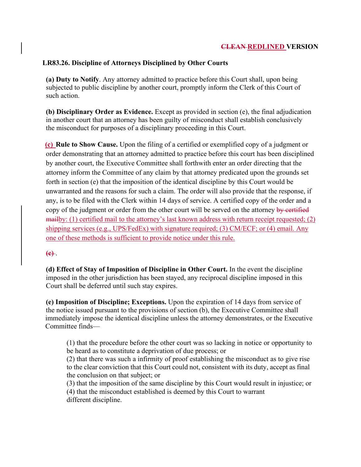## **CLEAN REDLINED VERSION**

## **LR83.26. Discipline of Attorneys Disciplined by Other Courts**

**(a) Duty to Notify**. Any attorney admitted to practice before this Court shall, upon being subjected to public discipline by another court, promptly inform the Clerk of this Court of such action.

**(b) Disciplinary Order as Evidence.** Except as provided in section (e), the final adjudication in another court that an attorney has been guilty of misconduct shall establish conclusively the misconduct for purposes of a disciplinary proceeding in this Court.

**(c) Rule to Show Cause.** Upon the filing of a certified or exemplified copy of a judgment or order demonstrating that an attorney admitted to practice before this court has been disciplined by another court, the Executive Committee shall forthwith enter an order directing that the attorney inform the Committee of any claim by that attorney predicated upon the grounds set forth in section (e) that the imposition of the identical discipline by this Court would be unwarranted and the reasons for such a claim. The order will also provide that the response, if any, is to be filed with the Clerk within 14 days of service. A certified copy of the order and a copy of the judgment or order from the other court will be served on the attorney by certified mailby: (1) certified mail to the attorney's last known address with return receipt requested; (2) shipping services (e.g., UPS/FedEx) with signature required; (3) CM/ECF; or (4) email. Any one of these methods is sufficient to provide notice under this rule.

#### **(c)** .

**(d) Effect of Stay of Imposition of Discipline in Other Court.** In the event the discipline imposed in the other jurisdiction has been stayed, any reciprocal discipline imposed in this Court shall be deferred until such stay expires.

**(e) Imposition of Discipline; Exceptions.** Upon the expiration of 14 days from service of the notice issued pursuant to the provisions of section (b), the Executive Committee shall immediately impose the identical discipline unless the attorney demonstrates, or the Executive Committee finds—

(1) that the procedure before the other court was so lacking in notice or opportunity to be heard as to constitute a deprivation of due process; or

(2) that there was such a infirmity of proof establishing the misconduct as to give rise to the clear conviction that this Court could not, consistent with its duty, accept as final the conclusion on that subject; or

(3) that the imposition of the same discipline by this Court would result in injustice; or (4) that the misconduct established is deemed by this Court to warrant different discipline.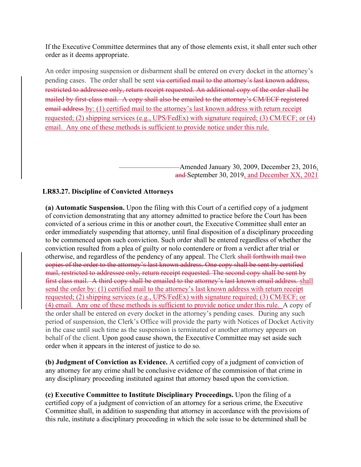If the Executive Committee determines that any of those elements exist, it shall enter such other order as it deems appropriate.

An order imposing suspension or disbarment shall be entered on every docket in the attorney's pending cases. The order shall be sent via certified mail to the attorney's last known address, restricted to addressee only, return receipt requested. An additional copy of the order shall be mailed by first-class mail. A copy shall also be emailed to the attorney's CM/ECF registered email address by: (1) certified mail to the attorney's last known address with return receipt requested; (2) shipping services (e.g., UPS/FedEx) with signature required; (3) CM/ECF; or (4) email. Any one of these methods is sufficient to provide notice under this rule.

> Amended January 30, 2009, December 23, 2016, and September 30, 2019, and December XX, 2021

# **LR83.27. Discipline of Convicted Attorneys**

**(a) Automatic Suspension.** Upon the filing with this Court of a certified copy of a judgment of conviction demonstrating that any attorney admitted to practice before the Court has been convicted of a serious crime in this or another court, the Executive Committee shall enter an order immediately suspending that attorney, until final disposition of a disciplinary proceeding to be commenced upon such conviction. Such order shall be entered regardless of whether the conviction resulted from a plea of guilty or nolo contendere or from a verdict after trial or otherwise, and regardless of the pendency of any appeal. The Clerk shall forthwith mail two copies of the order to the attorney's last known address. One copy shall be sent by certified mail, restricted to addressee only, return receipt requested. The second copy shall be sent by first class mail. A third copy shall be emailed to the attorney's last known email address. shall send the order by: (1) certified mail to the attorney's last known address with return receipt requested; (2) shipping services (e.g., UPS/FedEx) with signature required; (3) CM/ECF; or (4) email. Any one of these methods is sufficient to provide notice under this rule. A copy of the order shall be entered on every docket in the attorney's pending cases. During any such period of suspension, the Clerk's Office will provide the party with Notices of Docket Activity in the case until such time as the suspension is terminated or another attorney appears on behalf of the client. Upon good cause shown, the Executive Committee may set aside such order when it appears in the interest of justice to do so.

**(b) Judgment of Conviction as Evidence.** A certified copy of a judgment of conviction of any attorney for any crime shall be conclusive evidence of the commission of that crime in any disciplinary proceeding instituted against that attorney based upon the conviction.

**(c) Executive Committee to Institute Disciplinary Proceedings.** Upon the filing of a certified copy of a judgment of conviction of an attorney for a serious crime, the Executive Committee shall, in addition to suspending that attorney in accordance with the provisions of this rule, institute a disciplinary proceeding in which the sole issue to be determined shall be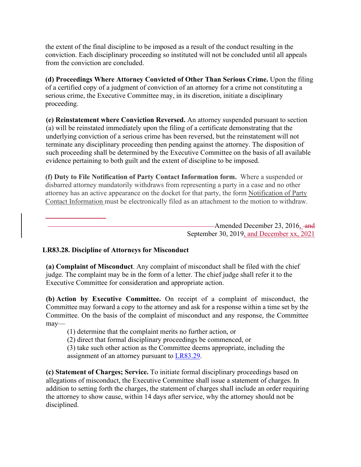the extent of the final discipline to be imposed as a result of the conduct resulting in the conviction. Each disciplinary proceeding so instituted will not be concluded until all appeals from the conviction are concluded.

**(d) Proceedings Where Attorney Convicted of Other Than Serious Crime.** Upon the filing of a certified copy of a judgment of conviction of an attorney for a crime not constituting a serious crime, the Executive Committee may, in its discretion, initiate a disciplinary proceeding.

**(e) Reinstatement where Conviction Reversed.** An attorney suspended pursuant to section (a) will be reinstated immediately upon the filing of a certificate demonstrating that the underlying conviction of a serious crime has been reversed, but the reinstatement will not terminate any disciplinary proceeding then pending against the attorney. The disposition of such proceeding shall be determined by the Executive Committee on the basis of all available evidence pertaining to both guilt and the extent of discipline to be imposed.

**(f) Duty to File Notification of Party Contact Information form.** Where a suspended or disbarred attorney mandatorily withdraws from representing a party in a case and no other attorney has an active appearance on the docket for that party, the form Notification of Party Contact Information must be electronically filed as an attachment to the motion to withdraw.

> -Amended December 23, 2016, -and September 30, 2019, and December xx, 2021

# **LR83.28. Discipline of Attorneys for Misconduct**

**(a) Complaint of Misconduct**. Any complaint of misconduct shall be filed with the chief judge. The complaint may be in the form of a letter. The chief judge shall refer it to the Executive Committee for consideration and appropriate action.

**(b) Action by Executive Committee.** On receipt of a complaint of misconduct, the Committee may forward a copy to the attorney and ask for a response within a time set by the Committee. On the basis of the complaint of misconduct and any response, the Committee may—

(1) determine that the complaint merits no further action, or

(2) direct that formal disciplinary proceedings be commenced, or

(3) take such other action as the Committee deems appropriate, including the assignment of an attorney pursuant to LR83.29.

**(c) Statement of Charges; Service.** To initiate formal disciplinary proceedings based on allegations of misconduct, the Executive Committee shall issue a statement of charges. In addition to setting forth the charges, the statement of charges shall include an order requiring the attorney to show cause, within 14 days after service, why the attorney should not be disciplined.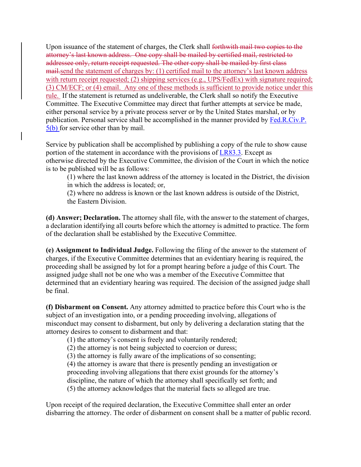Upon issuance of the statement of charges, the Clerk shall forthwith mail two copies to the attorney's last known address. One copy shall be mailed by certified mail, restricted to addressee only, return receipt requested. The other copy shall be mailed by first class mail.send the statement of charges by: (1) certified mail to the attorney's last known address with return receipt requested; (2) shipping services (e.g., UPS/FedEx) with signature required; (3) CM/ECF; or (4) email. Any one of these methods is sufficient to provide notice under this rule. If the statement is returned as undeliverable, the Clerk shall so notify the Executive Committee. The Executive Committee may direct that further attempts at service be made, either personal service by a private process server or by the United States marshal, or by publication. Personal service shall be accomplished in the manner provided by [Fed.R.Civ.P.](https://www.law.cornell.edu/rules/frcp/rule_5) [5\(b\) f](https://www.law.cornell.edu/rules/frcp/rule_5)or service other than by mail.

Service by publication shall be accomplished by publishing a copy of the rule to show cause portion of the statement in accordance with the provisions of  $LRS3.3$ . Except as otherwise directed by the Executive Committee, the division of the Court in which the notice is to be published will be as follows:

(1) where the last known address of the attorney is located in the District, the division in which the address is located; or,

(2) where no address is known or the last known address is outside of the District, the Eastern Division.

**(d) Answer; Declaration.** The attorney shall file, with the answer to the statement of charges, a declaration identifying all courts before which the attorney is admitted to practice. The form of the declaration shall be established by the Executive Committee.

**(e) Assignment to Individual Judge.** Following the filing of the answer to the statement of charges, if the Executive Committee determines that an evidentiary hearing is required, the proceeding shall be assigned by lot for a prompt hearing before a judge of this Court. The assigned judge shall not be one who was a member of the Executive Committee that determined that an evidentiary hearing was required. The decision of the assigned judge shall be final.

**(f) Disbarment on Consent.** Any attorney admitted to practice before this Court who is the subject of an investigation into, or a pending proceeding involving, allegations of misconduct may consent to disbarment, but only by delivering a declaration stating that the attorney desires to consent to disbarment and that:

(1) the attorney's consent is freely and voluntarily rendered;

(2) the attorney is not being subjected to coercion or duress;

(3) the attorney is fully aware of the implications of so consenting;

(4) the attorney is aware that there is presently pending an investigation or

proceeding involving allegations that there exist grounds for the attorney's

discipline, the nature of which the attorney shall specifically set forth; and

(5) the attorney acknowledges that the material facts so alleged are true.

Upon receipt of the required declaration, the Executive Committee shall enter an order disbarring the attorney. The order of disbarment on consent shall be a matter of public record.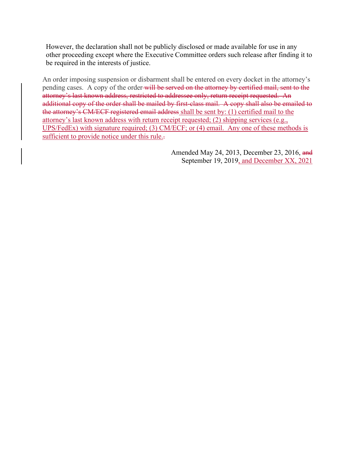However, the declaration shall not be publicly disclosed or made available for use in any other proceeding except where the Executive Committee orders such release after finding it to be required in the interests of justice.

An order imposing suspension or disbarment shall be entered on every docket in the attorney's pending cases. A copy of the order will be served on the attorney by certified mail, sent to the attorney's last known address, restricted to addressee only, return receipt requested. An additional copy of the order shall be mailed by first-class mail. A copy shall also be emailed to the attorney's CM/ECF registered email address shall be sent by: (1) certified mail to the attorney's last known address with return receipt requested; (2) shipping services (e.g., UPS/FedEx) with signature required; (3) CM/ECF; or (4) email. Any one of these methods is sufficient to provide notice under this rule.

> Amended May 24, 2013, December 23, 2016, and September 19, 2019, and December XX, 2021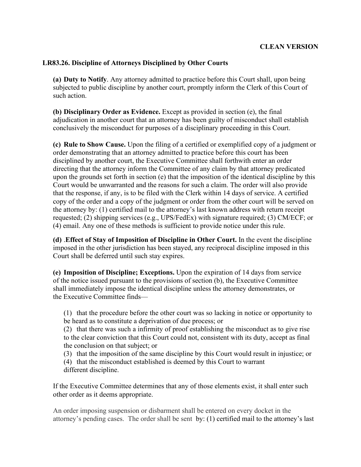### **CLEAN VERSION**

#### **LR83.26. Discipline of Attorneys Disciplined by Other Courts**

**(a) Duty to Notify**. Any attorney admitted to practice before this Court shall, upon being subjected to public discipline by another court, promptly inform the Clerk of this Court of such action.

**(b) Disciplinary Order as Evidence.** Except as provided in section (e), the final adjudication in another court that an attorney has been guilty of misconduct shall establish conclusively the misconduct for purposes of a disciplinary proceeding in this Court.

**(c) Rule to Show Cause.** Upon the filing of a certified or exemplified copy of a judgment or order demonstrating that an attorney admitted to practice before this court has been disciplined by another court, the Executive Committee shall forthwith enter an order directing that the attorney inform the Committee of any claim by that attorney predicated upon the grounds set forth in section (e) that the imposition of the identical discipline by this Court would be unwarranted and the reasons for such a claim. The order will also provide that the response, if any, is to be filed with the Clerk within 14 days of service. A certified copy of the order and a copy of the judgment or order from the other court will be served on the attorney by: (1) certified mail to the attorney's last known address with return receipt requested; (2) shipping services (e.g., UPS/FedEx) with signature required; (3) CM/ECF; or (4) email. Any one of these methods is sufficient to provide notice under this rule.

**(d)** .**Effect of Stay of Imposition of Discipline in Other Court.** In the event the discipline imposed in the other jurisdiction has been stayed, any reciprocal discipline imposed in this Court shall be deferred until such stay expires.

**(e) Imposition of Discipline; Exceptions.** Upon the expiration of 14 days from service of the notice issued pursuant to the provisions of section (b), the Executive Committee shall immediately impose the identical discipline unless the attorney demonstrates, or the Executive Committee finds—

(1) that the procedure before the other court was so lacking in notice or opportunity to be heard as to constitute a deprivation of due process; or

(2) that there was such a infirmity of proof establishing the misconduct as to give rise to the clear conviction that this Court could not, consistent with its duty, accept as final the conclusion on that subject; or

(3) that the imposition of the same discipline by this Court would result in injustice; or

(4) that the misconduct established is deemed by this Court to warrant different discipline.

If the Executive Committee determines that any of those elements exist, it shall enter such other order as it deems appropriate.

An order imposing suspension or disbarment shall be entered on every docket in the attorney's pending cases. The order shall be sent by: (1) certified mail to the attorney's last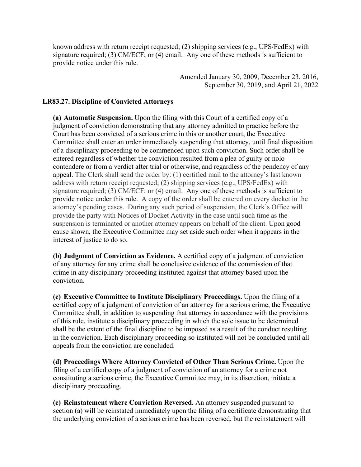known address with return receipt requested; (2) shipping services (e.g., UPS/FedEx) with signature required; (3) CM/ECF; or (4) email. Any one of these methods is sufficient to provide notice under this rule.

> Amended January 30, 2009, December 23, 2016, September 30, 2019, and April 21, 2022

### **LR83.27. Discipline of Convicted Attorneys**

**(a) Automatic Suspension.** Upon the filing with this Court of a certified copy of a judgment of conviction demonstrating that any attorney admitted to practice before the Court has been convicted of a serious crime in this or another court, the Executive Committee shall enter an order immediately suspending that attorney, until final disposition of a disciplinary proceeding to be commenced upon such conviction. Such order shall be entered regardless of whether the conviction resulted from a plea of guilty or nolo contendere or from a verdict after trial or otherwise, and regardless of the pendency of any appeal. The Clerk shall send the order by: (1) certified mail to the attorney's last known address with return receipt requested; (2) shipping services (e.g., UPS/FedEx) with signature required; (3) CM/ECF; or (4) email. Any one of these methods is sufficient to provide notice under this rule. A copy of the order shall be entered on every docket in the attorney's pending cases. During any such period of suspension, the Clerk's Office will provide the party with Notices of Docket Activity in the case until such time as the suspension is terminated or another attorney appears on behalf of the client. Upon good cause shown, the Executive Committee may set aside such order when it appears in the interest of justice to do so.

**(b) Judgment of Conviction as Evidence.** A certified copy of a judgment of conviction of any attorney for any crime shall be conclusive evidence of the commission of that crime in any disciplinary proceeding instituted against that attorney based upon the conviction.

**(c) Executive Committee to Institute Disciplinary Proceedings.** Upon the filing of a certified copy of a judgment of conviction of an attorney for a serious crime, the Executive Committee shall, in addition to suspending that attorney in accordance with the provisions of this rule, institute a disciplinary proceeding in which the sole issue to be determined shall be the extent of the final discipline to be imposed as a result of the conduct resulting in the conviction. Each disciplinary proceeding so instituted will not be concluded until all appeals from the conviction are concluded.

**(d) Proceedings Where Attorney Convicted of Other Than Serious Crime.** Upon the filing of a certified copy of a judgment of conviction of an attorney for a crime not constituting a serious crime, the Executive Committee may, in its discretion, initiate a disciplinary proceeding.

**(e) Reinstatement where Conviction Reversed.** An attorney suspended pursuant to section (a) will be reinstated immediately upon the filing of a certificate demonstrating that the underlying conviction of a serious crime has been reversed, but the reinstatement will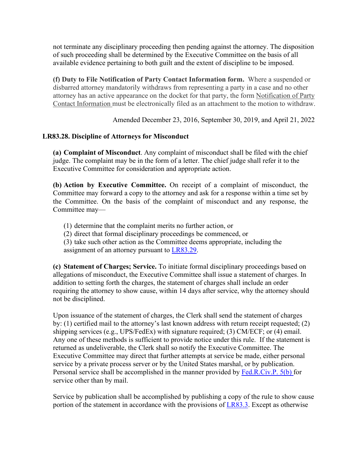not terminate any disciplinary proceeding then pending against the attorney. The disposition of such proceeding shall be determined by the Executive Committee on the basis of all available evidence pertaining to both guilt and the extent of discipline to be imposed.

**(f) Duty to File Notification of Party Contact Information form.** Where a suspended or disbarred attorney mandatorily withdraws from representing a party in a case and no other attorney has an active appearance on the docket for that party, the form Notification of Party Contact Information must be electronically filed as an attachment to the motion to withdraw.

Amended December 23, 2016, September 30, 2019, and April 21, 2022

### **LR83.28. Discipline of Attorneys for Misconduct**

**(a) Complaint of Misconduct**. Any complaint of misconduct shall be filed with the chief judge. The complaint may be in the form of a letter. The chief judge shall refer it to the Executive Committee for consideration and appropriate action.

**(b) Action by Executive Committee.** On receipt of a complaint of misconduct, the Committee may forward a copy to the attorney and ask for a response within a time set by the Committee. On the basis of the complaint of misconduct and any response, the Committee may—

- (1) determine that the complaint merits no further action, or
- (2) direct that formal disciplinary proceedings be commenced, or

(3) take such other action as the Committee deems appropriate, including the assignment of an attorney pursuant to LR83.29.

**(c) Statement of Charges; Service.** To initiate formal disciplinary proceedings based on allegations of misconduct, the Executive Committee shall issue a statement of charges. In addition to setting forth the charges, the statement of charges shall include an order requiring the attorney to show cause, within 14 days after service, why the attorney should not be disciplined.

Upon issuance of the statement of charges, the Clerk shall send the statement of charges by: (1) certified mail to the attorney's last known address with return receipt requested; (2) shipping services (e.g., UPS/FedEx) with signature required; (3) CM/ECF; or (4) email. Any one of these methods is sufficient to provide notice under this rule. If the statement is returned as undeliverable, the Clerk shall so notify the Executive Committee. The Executive Committee may direct that further attempts at service be made, either personal service by a private process server or by the United States marshal, or by publication. Personal service shall be accomplished in the manner provided by [Fed.R.Civ.P. 5\(b\) f](https://www.law.cornell.edu/rules/frcp/rule_5)or service other than by mail.

Service by publication shall be accomplished by publishing a copy of the rule to show cause portion of the statement in accordance with the provisions of LR83.3. Except as otherwise